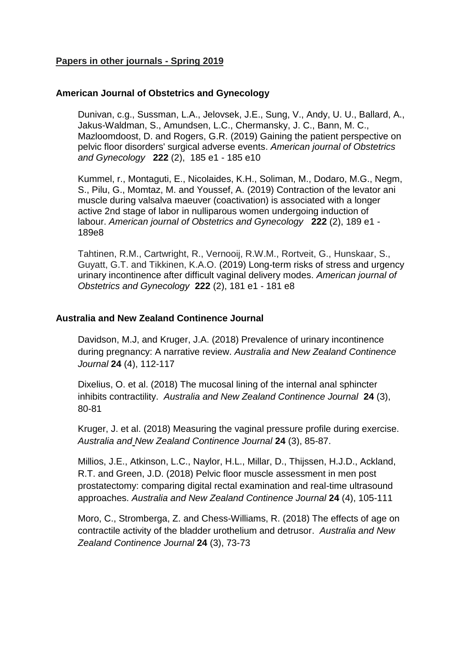## **Papers in other journals - Spring 2019**

### **American Journal of Obstetrics and Gynecology**

Dunivan, c.g., Sussman, L.A., Jelovsek, J.E., Sung, V., Andy, U. U., Ballard, A., Jakus-Waldman, S., Amundsen, L.C., Chermansky, J. C., Bann, M. C., Mazloomdoost, D. and Rogers, G.R. (2019) Gaining the patient perspective on pelvic floor disorders' surgical adverse events. *American journal of Obstetrics and Gynecology* **222** (2), 185 e1 - 185 e10

Kummel, r., Montaguti, E., Nicolaides, K.H., Soliman, M., Dodaro, M.G., Negm, S., Pilu, G., Momtaz, M. and Youssef, A. (2019) Contraction of the levator ani muscle during valsalva maeuver (coactivation) is associated with a longer active 2nd stage of labor in nulliparous women undergoing induction of labour. *American journal of Obstetrics and Gynecology* **222** (2), 189 e1 - 189e8

Tahtinen, R.M., Cartwright, R., Vernooij, R.W.M., Rortveit, G., Hunskaar, S., Guyatt, G.T. and Tikkinen, K.A.O. (2019) Long-term risks of stress and urgency urinary incontinence after difficult vaginal delivery modes. *American journal of Obstetrics and Gynecology* **222** (2), 181 e1 - 181 e8

### **Australia and New Zealand Continence Journal**

Davidson, M.J, and Kruger, J.A. (2018) Prevalence of urinary incontinence during pregnancy: A narrative review. *Australia and New Zealand Continence Journal* **24** (4), 112-117

Dixelius, O. et al. (2018) The mucosal lining of the internal anal sphincter inhibits contractility. *Australia and New Zealand Continence Journal* **24** (3), 80-81

Kruger, J. et al. (2018) Measuring the vaginal pressure profile during exercise. *Australia and New Zealand Continence Journal* **24** (3), 85-87.

Millios, J.E., Atkinson, L.C., Naylor, H.L., Millar, D., Thijssen, H.J.D., Ackland, R.T. and Green, J.D. (2018) Pelvic floor muscle assessment in men post prostatectomy: comparing digital rectal examination and real-time ultrasound approaches. *Australia and New Zealand Continence Journal* **24** (4), 105-111

[Moro, C.,](javascript:__doLinkPostBack() [Stromberga, Z.](javascript:__doLinkPostBack() and [Chess-Williams, R.](javascript:__doLinkPostBack() (2018) The effects of age on contractile activity of the bladder urothelium and detrusor. *Australia and New Zealand Continence Journal* **24** (3), 73-73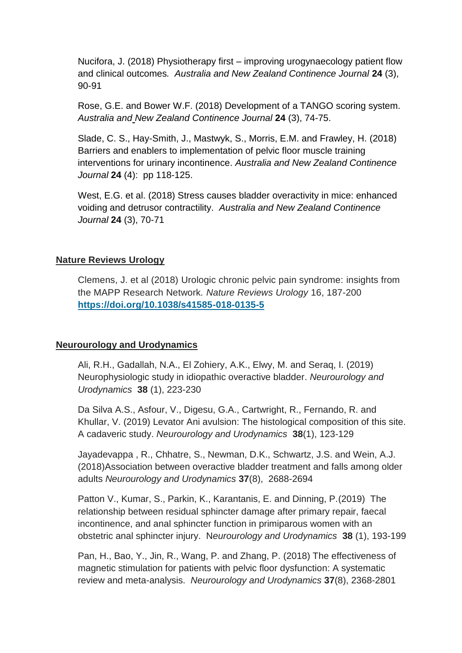Nucifora, J. (2018) Physiotherapy first – improving urogynaecology patient flow and clinical outcomes*. Australia and New Zealand Continence Journal* **24** (3), 90-91

Rose, G.E. and Bower W.F. (2018) Development of a TANGO scoring system*. Australia and New Zealand Continence Journal* **24** (3), 74-75.

Slade, C. S., Hay-Smith, J., Mastwyk, S., Morris, E.M. and Frawley, H. (2018) Barriers and enablers to implementation of pelvic floor muscle training interventions for urinary incontinence. *Australia and New Zealand Continence Journal* **24** (4): pp 118-125.

West, E.G. et al. (2018) Stress causes bladder overactivity in mice: enhanced voiding and detrusor contractility. *Australia and New Zealand Continence Journal* **24** (3), 70-71

## **Nature Reviews Urology**

Clemens, J. et al (2018) Urologic chronic pelvic pain syndrome: insights from the MAPP Research Network*. Nature Reviews Urology* 16, 187-200 **<https://doi.org/10.1038/s41585-018-0135-5>**

### **Neurourology and Urodynamics**

Ali, R.H., Gadallah, N.A., El Zohiery, A.K., Elwy, M. and Seraq, I. (2019) Neurophysiologic study in idiopathic overactive bladder. *Neurourology and Urodynamics* **38** (1), 223-230

Da Silva A.S., Asfour, V., Digesu, G.A., Cartwright, R., Fernando, R. and Khullar, V. (2019) Levator Ani avulsion: The histological composition of this site. A cadaveric study. *Neurourology and Urodynamics* **38**(1), 123-129

Jayadevappa , R., Chhatre, S., Newman, D.K., Schwartz, J.S. and Wein, A.J. (2018)Association between overactive bladder treatment and falls among older adults *Neurourology and Urodynamics* **37**(8), 2688-2694

Patton V., Kumar, S., Parkin, K., Karantanis, E. and Dinning, P.(2019) The relationship between residual sphincter damage after primary repair, faecal incontinence, and anal sphincter function in primiparous women with an obstetric anal sphincter injury. N*eurourology and Urodynamics* **38** (1), 193-199

Pan, H., Bao, Y., Jin, R., Wang, P. and Zhang, P. (2018) The effectiveness of magnetic stimulation for patients with pelvic floor dysfunction: A systematic review and meta-analysis. *Neurourology and Urodynamics* **37**(8), 2368-2801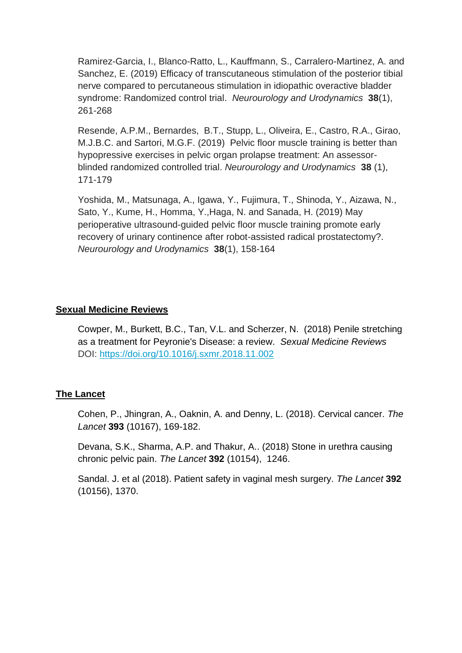Ramirez-Garcia, I., Blanco-Ratto, L., Kauffmann, S., Carralero-Martinez, A. and Sanchez, E. (2019) Efficacy of transcutaneous stimulation of the posterior tibial nerve compared to percutaneous stimulation in idiopathic overactive bladder syndrome: Randomized control trial. *Neurourology and Urodynamics* **38**(1), 261-268

Resende, A.P.M., Bernardes, B.T., Stupp, L., Oliveira, E., Castro, R.A., Girao, M.J.B.C. and Sartori, M.G.F. (2019) Pelvic floor muscle training is better than hypopressive exercises in pelvic organ prolapse treatment: An assessorblinded randomized controlled trial. *Neurourology and Urodynamics* **38** (1), 171-179

Yoshida, M., Matsunaga, A., Igawa, Y., Fujimura, T., Shinoda, Y., Aizawa, N., Sato, Y., Kume, H., Homma, Y.,Haga, N. and Sanada, H. (2019) May perioperative ultrasound-guided pelvic floor muscle training promote early recovery of urinary continence after robot-assisted radical prostatectomy?. *Neurourology and Urodynamics* **38**(1), 158-164

## **Sexual Medicine Reviews**

Cowper, M., Burkett, B.C., Tan, V.L. and Scherzer, N. (2018) Penile stretching as a treatment for Peyronie's Disease: a review. *Sexual Medicine Reviews*  DOI: <https://doi.org/10.1016/j.sxmr.2018.11.002>

# **The Lancet**

Cohen, P., Jhingran, A., Oaknin, A. and Denny, L. (2018). Cervical cancer. *The Lancet* **393** (10167), 169-182.

Devana, S.K., Sharma, A.P. and Thakur, A.. (2018) Stone in urethra causing chronic pelvic pain. *The Lancet* **392** (10154), 1246.

Sandal. J. et al (2018). Patient safety in vaginal mesh surgery. *The Lancet* **392**  (10156), 1370.